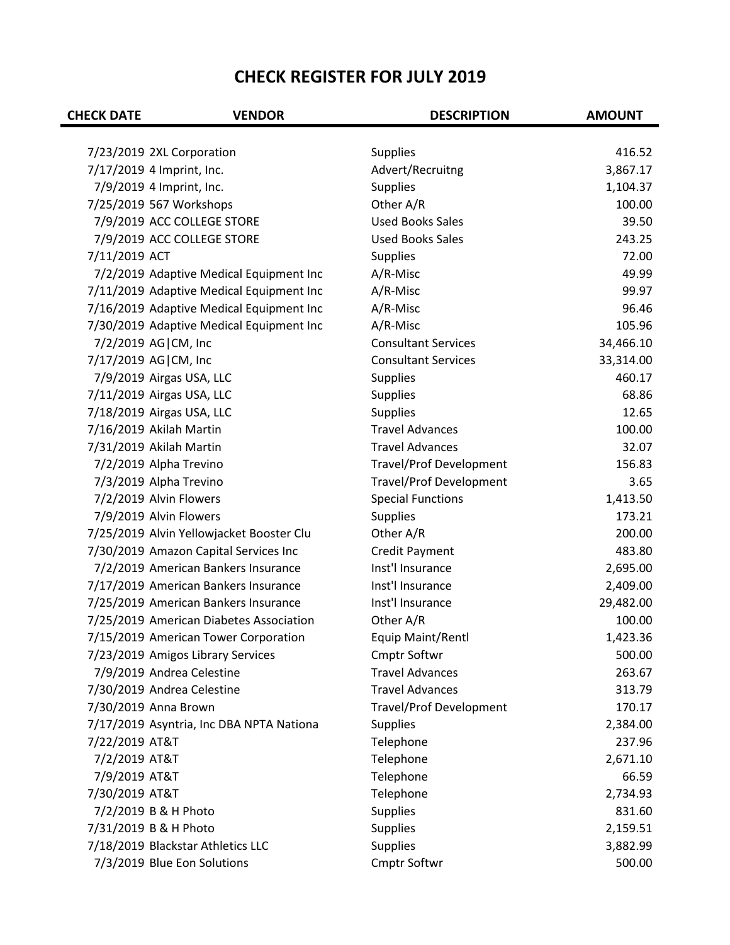## **CHECK REGISTER FOR JULY 2019**

| <b>CHECK DATE</b> | <b>VENDOR</b>                            | <b>DESCRIPTION</b>             | <b>AMOUNT</b> |
|-------------------|------------------------------------------|--------------------------------|---------------|
|                   |                                          |                                |               |
|                   | 7/23/2019 2XL Corporation                | <b>Supplies</b>                | 416.52        |
|                   | 7/17/2019 4 Imprint, Inc.                | Advert/Recruitng               | 3,867.17      |
|                   | 7/9/2019 4 Imprint, Inc.                 | <b>Supplies</b>                | 1,104.37      |
|                   | 7/25/2019 567 Workshops                  | Other A/R                      | 100.00        |
|                   | 7/9/2019 ACC COLLEGE STORE               | <b>Used Books Sales</b>        | 39.50         |
|                   | 7/9/2019 ACC COLLEGE STORE               | <b>Used Books Sales</b>        | 243.25        |
| 7/11/2019 ACT     |                                          | <b>Supplies</b>                | 72.00         |
|                   | 7/2/2019 Adaptive Medical Equipment Inc  | A/R-Misc                       | 49.99         |
|                   | 7/11/2019 Adaptive Medical Equipment Inc | A/R-Misc                       | 99.97         |
|                   | 7/16/2019 Adaptive Medical Equipment Inc | A/R-Misc                       | 96.46         |
|                   | 7/30/2019 Adaptive Medical Equipment Inc | A/R-Misc                       | 105.96        |
|                   | 7/2/2019 AG   CM, Inc                    | <b>Consultant Services</b>     | 34,466.10     |
|                   | 7/17/2019 AG CM, Inc                     | <b>Consultant Services</b>     | 33,314.00     |
|                   | 7/9/2019 Airgas USA, LLC                 | <b>Supplies</b>                | 460.17        |
|                   | 7/11/2019 Airgas USA, LLC                | <b>Supplies</b>                | 68.86         |
|                   | 7/18/2019 Airgas USA, LLC                | <b>Supplies</b>                | 12.65         |
|                   | 7/16/2019 Akilah Martin                  | <b>Travel Advances</b>         | 100.00        |
|                   | 7/31/2019 Akilah Martin                  | <b>Travel Advances</b>         | 32.07         |
|                   | 7/2/2019 Alpha Trevino                   | <b>Travel/Prof Development</b> | 156.83        |
|                   | 7/3/2019 Alpha Trevino                   | <b>Travel/Prof Development</b> | 3.65          |
|                   | 7/2/2019 Alvin Flowers                   | <b>Special Functions</b>       | 1,413.50      |
|                   | 7/9/2019 Alvin Flowers                   | <b>Supplies</b>                | 173.21        |
|                   | 7/25/2019 Alvin Yellowjacket Booster Clu | Other A/R                      | 200.00        |
|                   | 7/30/2019 Amazon Capital Services Inc    | <b>Credit Payment</b>          | 483.80        |
|                   | 7/2/2019 American Bankers Insurance      | Inst'l Insurance               | 2,695.00      |
|                   | 7/17/2019 American Bankers Insurance     | Inst'l Insurance               | 2,409.00      |
|                   | 7/25/2019 American Bankers Insurance     | Inst'l Insurance               | 29,482.00     |
|                   | 7/25/2019 American Diabetes Association  | Other A/R                      | 100.00        |
|                   | 7/15/2019 American Tower Corporation     | Equip Maint/Rentl              | 1,423.36      |
|                   | 7/23/2019 Amigos Library Services        | <b>Cmptr Softwr</b>            | 500.00        |
|                   | 7/9/2019 Andrea Celestine                | <b>Travel Advances</b>         | 263.67        |
|                   | 7/30/2019 Andrea Celestine               | <b>Travel Advances</b>         | 313.79        |
|                   | 7/30/2019 Anna Brown                     | <b>Travel/Prof Development</b> | 170.17        |
|                   | 7/17/2019 Asyntria, Inc DBA NPTA Nationa | <b>Supplies</b>                | 2,384.00      |
| 7/22/2019 AT&T    |                                          | Telephone                      | 237.96        |
| 7/2/2019 AT&T     |                                          | Telephone                      | 2,671.10      |
| 7/9/2019 AT&T     |                                          | Telephone                      | 66.59         |
| 7/30/2019 AT&T    |                                          | Telephone                      | 2,734.93      |
|                   | 7/2/2019 B & H Photo                     | <b>Supplies</b>                | 831.60        |
|                   | 7/31/2019 B & H Photo                    | <b>Supplies</b>                | 2,159.51      |
|                   | 7/18/2019 Blackstar Athletics LLC        | <b>Supplies</b>                | 3,882.99      |
|                   | 7/3/2019 Blue Eon Solutions              | Cmptr Softwr                   | 500.00        |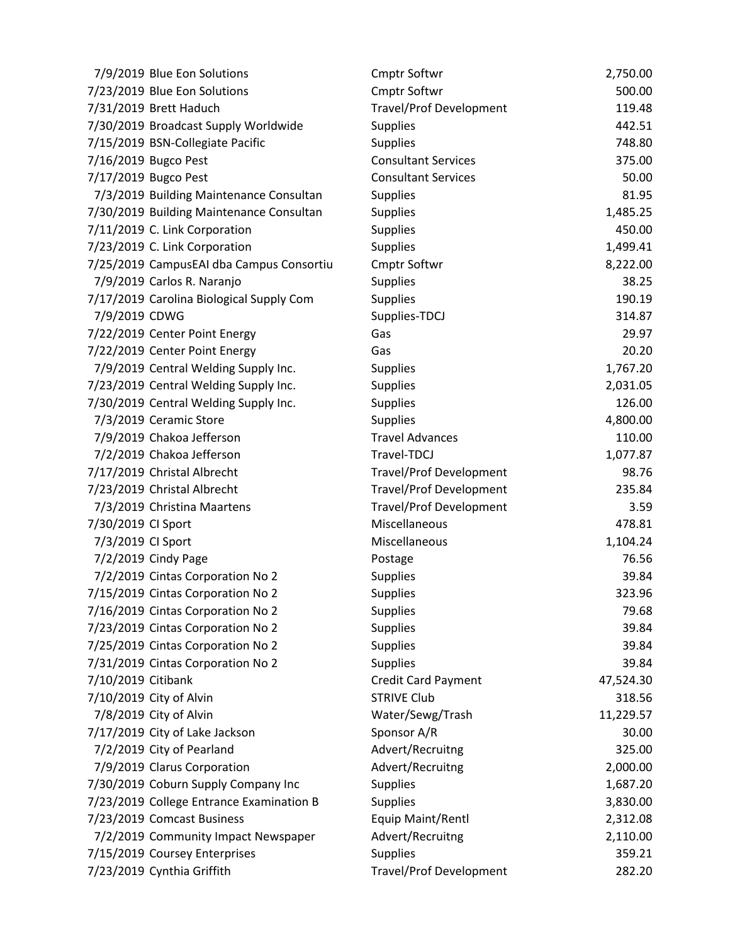| 7/9/2019 Blue Eon Solutions              | <b>Cmptr Softwr</b>            | 2,750.00  |
|------------------------------------------|--------------------------------|-----------|
| 7/23/2019 Blue Eon Solutions             | <b>Cmptr Softwr</b>            | 500.00    |
| 7/31/2019 Brett Haduch                   | <b>Travel/Prof Development</b> | 119.48    |
| 7/30/2019 Broadcast Supply Worldwide     | <b>Supplies</b>                | 442.51    |
| 7/15/2019 BSN-Collegiate Pacific         | <b>Supplies</b>                | 748.80    |
| 7/16/2019 Bugco Pest                     | <b>Consultant Services</b>     | 375.00    |
| 7/17/2019 Bugco Pest                     | <b>Consultant Services</b>     | 50.00     |
| 7/3/2019 Building Maintenance Consultan  | <b>Supplies</b>                | 81.95     |
| 7/30/2019 Building Maintenance Consultan | <b>Supplies</b>                | 1,485.25  |
| 7/11/2019 C. Link Corporation            | <b>Supplies</b>                | 450.00    |
| 7/23/2019 C. Link Corporation            | <b>Supplies</b>                | 1,499.41  |
| 7/25/2019 CampusEAI dba Campus Consortiu | Cmptr Softwr                   | 8,222.00  |
| 7/9/2019 Carlos R. Naranjo               | <b>Supplies</b>                | 38.25     |
| 7/17/2019 Carolina Biological Supply Com | <b>Supplies</b>                | 190.19    |
| 7/9/2019 CDWG                            | Supplies-TDCJ                  | 314.87    |
| 7/22/2019 Center Point Energy            | Gas                            | 29.97     |
| 7/22/2019 Center Point Energy            | Gas                            | 20.20     |
| 7/9/2019 Central Welding Supply Inc.     | <b>Supplies</b>                | 1,767.20  |
| 7/23/2019 Central Welding Supply Inc.    | <b>Supplies</b>                | 2,031.05  |
| 7/30/2019 Central Welding Supply Inc.    | <b>Supplies</b>                | 126.00    |
| 7/3/2019 Ceramic Store                   | <b>Supplies</b>                | 4,800.00  |
| 7/9/2019 Chakoa Jefferson                | <b>Travel Advances</b>         | 110.00    |
| 7/2/2019 Chakoa Jefferson                | Travel-TDCJ                    | 1,077.87  |
| 7/17/2019 Christal Albrecht              | <b>Travel/Prof Development</b> | 98.76     |
| 7/23/2019 Christal Albrecht              | <b>Travel/Prof Development</b> | 235.84    |
| 7/3/2019 Christina Maartens              | <b>Travel/Prof Development</b> | 3.59      |
| 7/30/2019 CI Sport                       | Miscellaneous                  | 478.81    |
| 7/3/2019 CI Sport                        | Miscellaneous                  | 1,104.24  |
| 7/2/2019 Cindy Page                      | Postage                        | 76.56     |
| 7/2/2019 Cintas Corporation No 2         | <b>Supplies</b>                | 39.84     |
| 7/15/2019 Cintas Corporation No 2        | <b>Supplies</b>                | 323.96    |
| 7/16/2019 Cintas Corporation No 2        | <b>Supplies</b>                | 79.68     |
| 7/23/2019 Cintas Corporation No 2        | Supplies                       | 39.84     |
| 7/25/2019 Cintas Corporation No 2        | <b>Supplies</b>                | 39.84     |
| 7/31/2019 Cintas Corporation No 2        | <b>Supplies</b>                | 39.84     |
| 7/10/2019 Citibank                       | <b>Credit Card Payment</b>     | 47,524.30 |
| 7/10/2019 City of Alvin                  | <b>STRIVE Club</b>             | 318.56    |
| 7/8/2019 City of Alvin                   | Water/Sewg/Trash               | 11,229.57 |
| 7/17/2019 City of Lake Jackson           | Sponsor A/R                    | 30.00     |
| 7/2/2019 City of Pearland                | Advert/Recruitng               | 325.00    |
| 7/9/2019 Clarus Corporation              | Advert/Recruitng               | 2,000.00  |
| 7/30/2019 Coburn Supply Company Inc      | <b>Supplies</b>                | 1,687.20  |
| 7/23/2019 College Entrance Examination B | <b>Supplies</b>                | 3,830.00  |
| 7/23/2019 Comcast Business               | Equip Maint/Rentl              | 2,312.08  |
| 7/2/2019 Community Impact Newspaper      | Advert/Recruitng               | 2,110.00  |
| 7/15/2019 Coursey Enterprises            | Supplies                       | 359.21    |
| 7/23/2019 Cynthia Griffith               | <b>Travel/Prof Development</b> | 282.20    |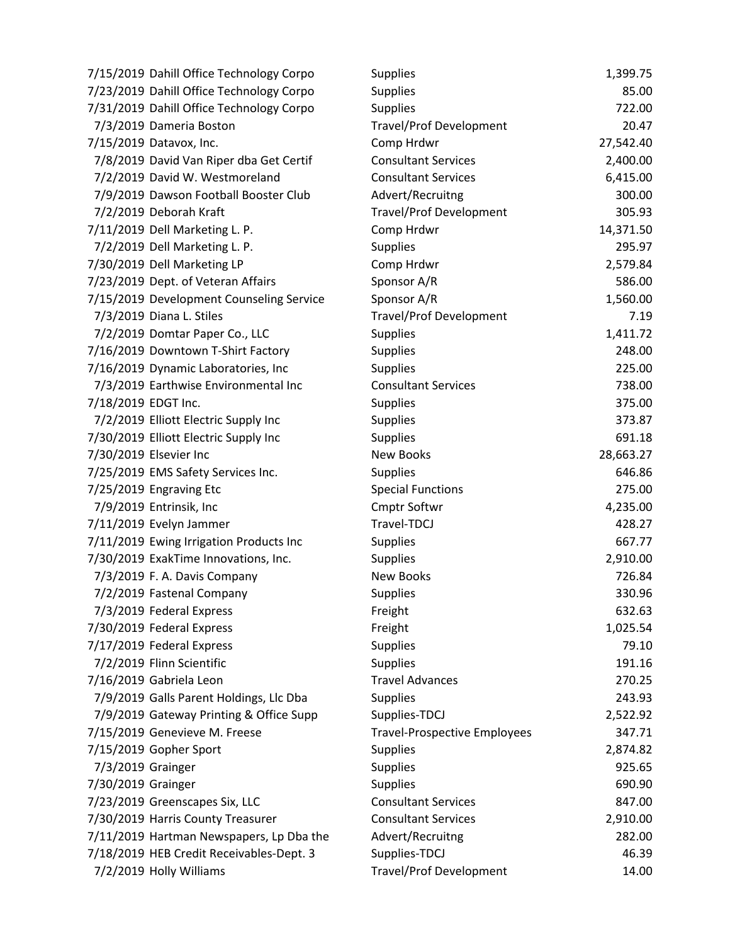| 7/15/2019 Dahill Office Technology Corpo | <b>Supplies</b>                     | 1,399.75  |
|------------------------------------------|-------------------------------------|-----------|
| 7/23/2019 Dahill Office Technology Corpo | <b>Supplies</b>                     | 85.00     |
| 7/31/2019 Dahill Office Technology Corpo | <b>Supplies</b>                     | 722.00    |
| 7/3/2019 Dameria Boston                  | <b>Travel/Prof Development</b>      | 20.47     |
| 7/15/2019 Datavox, Inc.                  | Comp Hrdwr                          | 27,542.40 |
| 7/8/2019 David Van Riper dba Get Certif  | <b>Consultant Services</b>          | 2,400.00  |
| 7/2/2019 David W. Westmoreland           | <b>Consultant Services</b>          | 6,415.00  |
| 7/9/2019 Dawson Football Booster Club    | Advert/Recruitng                    | 300.00    |
| 7/2/2019 Deborah Kraft                   | <b>Travel/Prof Development</b>      | 305.93    |
| 7/11/2019 Dell Marketing L. P.           | Comp Hrdwr                          | 14,371.50 |
| 7/2/2019 Dell Marketing L. P.            | <b>Supplies</b>                     | 295.97    |
| 7/30/2019 Dell Marketing LP              | Comp Hrdwr                          | 2,579.84  |
| 7/23/2019 Dept. of Veteran Affairs       | Sponsor A/R                         | 586.00    |
| 7/15/2019 Development Counseling Service | Sponsor A/R                         | 1,560.00  |
| 7/3/2019 Diana L. Stiles                 | <b>Travel/Prof Development</b>      | 7.19      |
| 7/2/2019 Domtar Paper Co., LLC           | Supplies                            | 1,411.72  |
| 7/16/2019 Downtown T-Shirt Factory       | <b>Supplies</b>                     | 248.00    |
| 7/16/2019 Dynamic Laboratories, Inc      | <b>Supplies</b>                     | 225.00    |
| 7/3/2019 Earthwise Environmental Inc     | <b>Consultant Services</b>          | 738.00    |
| 7/18/2019 EDGT Inc.                      | <b>Supplies</b>                     | 375.00    |
| 7/2/2019 Elliott Electric Supply Inc     | <b>Supplies</b>                     | 373.87    |
| 7/30/2019 Elliott Electric Supply Inc    | <b>Supplies</b>                     | 691.18    |
| 7/30/2019 Elsevier Inc                   | <b>New Books</b>                    | 28,663.27 |
| 7/25/2019 EMS Safety Services Inc.       | <b>Supplies</b>                     | 646.86    |
| 7/25/2019 Engraving Etc                  | <b>Special Functions</b>            | 275.00    |
| 7/9/2019 Entrinsik, Inc                  | <b>Cmptr Softwr</b>                 | 4,235.00  |
| 7/11/2019 Evelyn Jammer                  | Travel-TDCJ                         | 428.27    |
| 7/11/2019 Ewing Irrigation Products Inc  | Supplies                            | 667.77    |
| 7/30/2019 ExakTime Innovations, Inc.     | <b>Supplies</b>                     | 2,910.00  |
| 7/3/2019 F. A. Davis Company             | <b>New Books</b>                    | 726.84    |
| 7/2/2019 Fastenal Company                | <b>Supplies</b>                     | 330.96    |
| 7/3/2019 Federal Express                 | Freight                             | 632.63    |
| 7/30/2019 Federal Express                | Freight                             | 1,025.54  |
| 7/17/2019 Federal Express                | <b>Supplies</b>                     | 79.10     |
| 7/2/2019 Flinn Scientific                | <b>Supplies</b>                     | 191.16    |
| 7/16/2019 Gabriela Leon                  | <b>Travel Advances</b>              | 270.25    |
| 7/9/2019 Galls Parent Holdings, Llc Dba  | <b>Supplies</b>                     | 243.93    |
| 7/9/2019 Gateway Printing & Office Supp  | Supplies-TDCJ                       | 2,522.92  |
| 7/15/2019 Genevieve M. Freese            | <b>Travel-Prospective Employees</b> | 347.71    |
| 7/15/2019 Gopher Sport                   | <b>Supplies</b>                     | 2,874.82  |
| 7/3/2019 Grainger                        | <b>Supplies</b>                     | 925.65    |
| 7/30/2019 Grainger                       | <b>Supplies</b>                     | 690.90    |
| 7/23/2019 Greenscapes Six, LLC           | <b>Consultant Services</b>          | 847.00    |
| 7/30/2019 Harris County Treasurer        | <b>Consultant Services</b>          | 2,910.00  |
| 7/11/2019 Hartman Newspapers, Lp Dba the | Advert/Recruitng                    | 282.00    |
| 7/18/2019 HEB Credit Receivables-Dept. 3 | Supplies-TDCJ                       | 46.39     |
| 7/2/2019 Holly Williams                  | <b>Travel/Prof Development</b>      | 14.00     |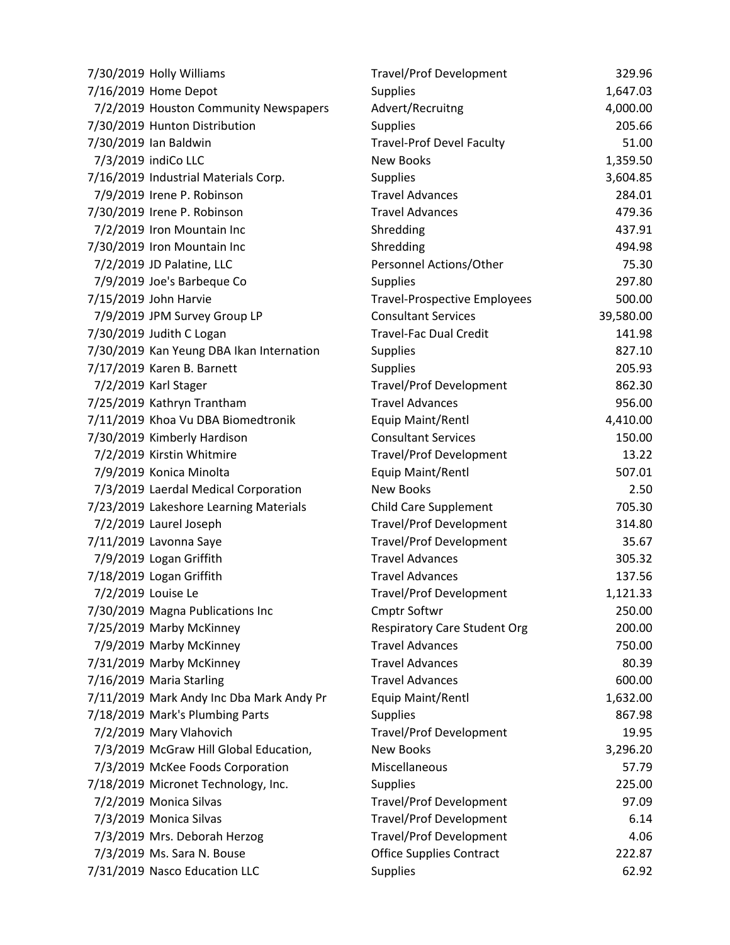| 7/30/2019 Holly Williams                 | <b>Travel/Prof Development</b>      | 329.96    |
|------------------------------------------|-------------------------------------|-----------|
| 7/16/2019 Home Depot                     | Supplies                            | 1,647.03  |
| 7/2/2019 Houston Community Newspapers    | Advert/Recruitng                    | 4,000.00  |
| 7/30/2019 Hunton Distribution            | <b>Supplies</b>                     | 205.66    |
| 7/30/2019 Ian Baldwin                    | <b>Travel-Prof Devel Faculty</b>    | 51.00     |
| 7/3/2019 indiCo LLC                      | <b>New Books</b>                    | 1,359.50  |
| 7/16/2019 Industrial Materials Corp.     | <b>Supplies</b>                     | 3,604.85  |
| 7/9/2019 Irene P. Robinson               | <b>Travel Advances</b>              | 284.01    |
| 7/30/2019 Irene P. Robinson              | <b>Travel Advances</b>              | 479.36    |
| 7/2/2019 Iron Mountain Inc               | Shredding                           | 437.91    |
| 7/30/2019 Iron Mountain Inc              | Shredding                           | 494.98    |
| 7/2/2019 JD Palatine, LLC                | Personnel Actions/Other             | 75.30     |
| 7/9/2019 Joe's Barbeque Co               | <b>Supplies</b>                     | 297.80    |
| 7/15/2019 John Harvie                    | <b>Travel-Prospective Employees</b> | 500.00    |
| 7/9/2019 JPM Survey Group LP             | <b>Consultant Services</b>          | 39,580.00 |
| 7/30/2019 Judith C Logan                 | <b>Travel-Fac Dual Credit</b>       | 141.98    |
| 7/30/2019 Kan Yeung DBA Ikan Internation | <b>Supplies</b>                     | 827.10    |
| 7/17/2019 Karen B. Barnett               | <b>Supplies</b>                     | 205.93    |
| 7/2/2019 Karl Stager                     | <b>Travel/Prof Development</b>      | 862.30    |
| 7/25/2019 Kathryn Trantham               | <b>Travel Advances</b>              | 956.00    |
| 7/11/2019 Khoa Vu DBA Biomedtronik       | Equip Maint/Rentl                   | 4,410.00  |
| 7/30/2019 Kimberly Hardison              | <b>Consultant Services</b>          | 150.00    |
| 7/2/2019 Kirstin Whitmire                | <b>Travel/Prof Development</b>      | 13.22     |
| 7/9/2019 Konica Minolta                  | Equip Maint/Rentl                   | 507.01    |
| 7/3/2019 Laerdal Medical Corporation     | <b>New Books</b>                    | 2.50      |
| 7/23/2019 Lakeshore Learning Materials   | <b>Child Care Supplement</b>        | 705.30    |
| 7/2/2019 Laurel Joseph                   | <b>Travel/Prof Development</b>      | 314.80    |
| 7/11/2019 Lavonna Saye                   | <b>Travel/Prof Development</b>      | 35.67     |
| 7/9/2019 Logan Griffith                  | <b>Travel Advances</b>              | 305.32    |
| 7/18/2019 Logan Griffith                 | <b>Travel Advances</b>              | 137.56    |
| 7/2/2019 Louise Le                       | <b>Travel/Prof Development</b>      | 1,121.33  |
| 7/30/2019 Magna Publications Inc         | <b>Cmptr Softwr</b>                 | 250.00    |
| 7/25/2019 Marby McKinney                 | <b>Respiratory Care Student Org</b> | 200.00    |
| 7/9/2019 Marby McKinney                  | <b>Travel Advances</b>              | 750.00    |
| 7/31/2019 Marby McKinney                 | <b>Travel Advances</b>              | 80.39     |
| 7/16/2019 Maria Starling                 | <b>Travel Advances</b>              | 600.00    |
| 7/11/2019 Mark Andy Inc Dba Mark Andy Pr | Equip Maint/Rentl                   | 1,632.00  |
| 7/18/2019 Mark's Plumbing Parts          | Supplies                            | 867.98    |
| 7/2/2019 Mary Vlahovich                  | <b>Travel/Prof Development</b>      | 19.95     |
| 7/3/2019 McGraw Hill Global Education,   | <b>New Books</b>                    | 3,296.20  |
| 7/3/2019 McKee Foods Corporation         | Miscellaneous                       | 57.79     |
| 7/18/2019 Micronet Technology, Inc.      | <b>Supplies</b>                     | 225.00    |
| 7/2/2019 Monica Silvas                   | <b>Travel/Prof Development</b>      | 97.09     |
| 7/3/2019 Monica Silvas                   | <b>Travel/Prof Development</b>      | 6.14      |
| 7/3/2019 Mrs. Deborah Herzog             | <b>Travel/Prof Development</b>      | 4.06      |
| 7/3/2019 Ms. Sara N. Bouse               | <b>Office Supplies Contract</b>     | 222.87    |
| 7/31/2019 Nasco Education LLC            | <b>Supplies</b>                     | 62.92     |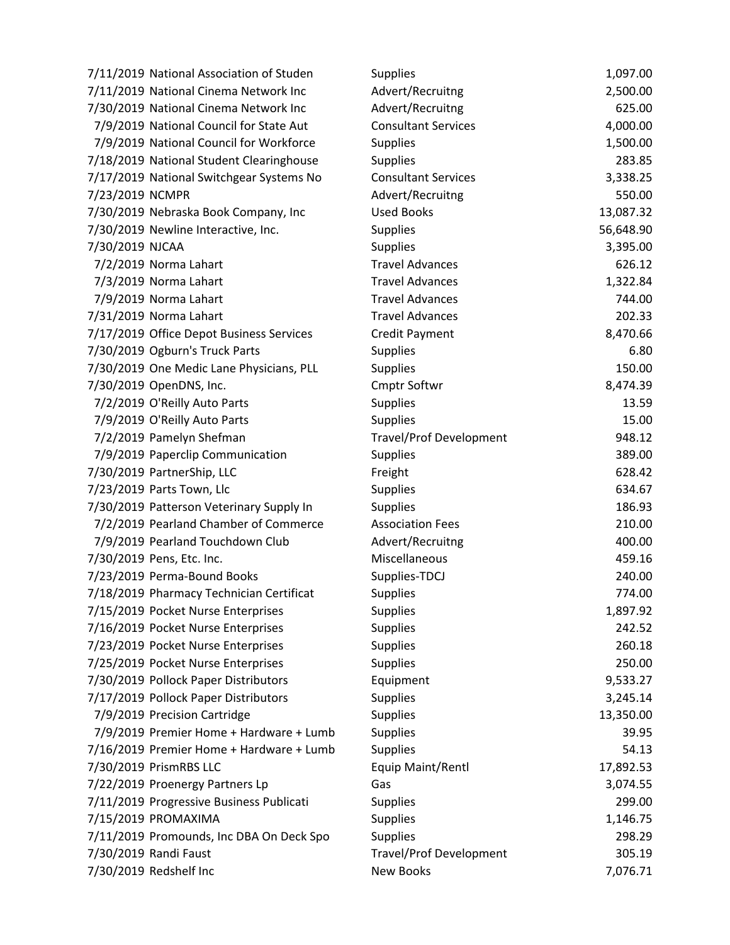| 7/11/2019 National Association of Studen | <b>Supplies</b>                | 1,097.00  |
|------------------------------------------|--------------------------------|-----------|
| 7/11/2019 National Cinema Network Inc    | Advert/Recruitng               | 2,500.00  |
| 7/30/2019 National Cinema Network Inc    | Advert/Recruitng               | 625.00    |
| 7/9/2019 National Council for State Aut  | <b>Consultant Services</b>     | 4,000.00  |
| 7/9/2019 National Council for Workforce  | <b>Supplies</b>                | 1,500.00  |
| 7/18/2019 National Student Clearinghouse | <b>Supplies</b>                | 283.85    |
| 7/17/2019 National Switchgear Systems No | <b>Consultant Services</b>     | 3,338.25  |
| 7/23/2019 NCMPR                          | Advert/Recruitng               | 550.00    |
| 7/30/2019 Nebraska Book Company, Inc     | <b>Used Books</b>              | 13,087.32 |
| 7/30/2019 Newline Interactive, Inc.      | Supplies                       | 56,648.90 |
| 7/30/2019 NJCAA                          | <b>Supplies</b>                | 3,395.00  |
| 7/2/2019 Norma Lahart                    | <b>Travel Advances</b>         | 626.12    |
| 7/3/2019 Norma Lahart                    | <b>Travel Advances</b>         | 1,322.84  |
| 7/9/2019 Norma Lahart                    | <b>Travel Advances</b>         | 744.00    |
| 7/31/2019 Norma Lahart                   | <b>Travel Advances</b>         | 202.33    |
| 7/17/2019 Office Depot Business Services | Credit Payment                 | 8,470.66  |
| 7/30/2019 Ogburn's Truck Parts           | Supplies                       | 6.80      |
| 7/30/2019 One Medic Lane Physicians, PLL | <b>Supplies</b>                | 150.00    |
| 7/30/2019 OpenDNS, Inc.                  | <b>Cmptr Softwr</b>            | 8,474.39  |
| 7/2/2019 O'Reilly Auto Parts             | <b>Supplies</b>                | 13.59     |
| 7/9/2019 O'Reilly Auto Parts             | <b>Supplies</b>                | 15.00     |
| 7/2/2019 Pamelyn Shefman                 | <b>Travel/Prof Development</b> | 948.12    |
| 7/9/2019 Paperclip Communication         | <b>Supplies</b>                | 389.00    |
| 7/30/2019 PartnerShip, LLC               | Freight                        | 628.42    |
| 7/23/2019 Parts Town, Llc                | <b>Supplies</b>                | 634.67    |
| 7/30/2019 Patterson Veterinary Supply In | <b>Supplies</b>                | 186.93    |
| 7/2/2019 Pearland Chamber of Commerce    | <b>Association Fees</b>        | 210.00    |
| 7/9/2019 Pearland Touchdown Club         | Advert/Recruitng               | 400.00    |
| 7/30/2019 Pens, Etc. Inc.                | Miscellaneous                  | 459.16    |
| 7/23/2019 Perma-Bound Books              | Supplies-TDCJ                  | 240.00    |
| 7/18/2019 Pharmacy Technician Certificat | <b>Supplies</b>                | 774.00    |
| 7/15/2019 Pocket Nurse Enterprises       | <b>Supplies</b>                | 1,897.92  |
| 7/16/2019 Pocket Nurse Enterprises       | <b>Supplies</b>                | 242.52    |
| 7/23/2019 Pocket Nurse Enterprises       | <b>Supplies</b>                | 260.18    |
| 7/25/2019 Pocket Nurse Enterprises       | <b>Supplies</b>                | 250.00    |
| 7/30/2019 Pollock Paper Distributors     | Equipment                      | 9,533.27  |
| 7/17/2019 Pollock Paper Distributors     | <b>Supplies</b>                | 3,245.14  |
| 7/9/2019 Precision Cartridge             | <b>Supplies</b>                | 13,350.00 |
| 7/9/2019 Premier Home + Hardware + Lumb  | <b>Supplies</b>                | 39.95     |
| 7/16/2019 Premier Home + Hardware + Lumb | <b>Supplies</b>                | 54.13     |
| 7/30/2019 PrismRBS LLC                   | Equip Maint/Rentl              | 17,892.53 |
| 7/22/2019 Proenergy Partners Lp          | Gas                            | 3,074.55  |
| 7/11/2019 Progressive Business Publicati | Supplies                       | 299.00    |
| 7/15/2019 PROMAXIMA                      | <b>Supplies</b>                | 1,146.75  |
| 7/11/2019 Promounds, Inc DBA On Deck Spo | <b>Supplies</b>                | 298.29    |
| 7/30/2019 Randi Faust                    | <b>Travel/Prof Development</b> | 305.19    |
| 7/30/2019 Redshelf Inc                   | New Books                      | 7,076.71  |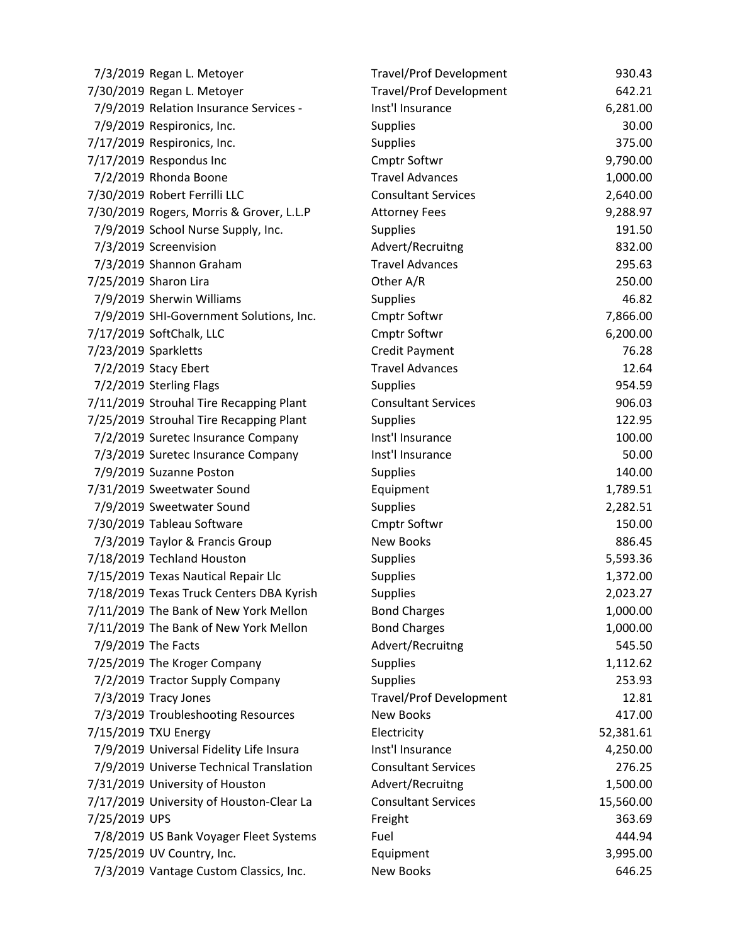| 7/3/2019 Regan L. Metoyer                | <b>Travel/Prof Development</b> | 930.43    |
|------------------------------------------|--------------------------------|-----------|
| 7/30/2019 Regan L. Metoyer               | Travel/Prof Development        | 642.21    |
| 7/9/2019 Relation Insurance Services -   | Inst'l Insurance               | 6,281.00  |
| 7/9/2019 Respironics, Inc.               | <b>Supplies</b>                | 30.00     |
| 7/17/2019 Respironics, Inc.              | <b>Supplies</b>                | 375.00    |
| 7/17/2019 Respondus Inc                  | <b>Cmptr Softwr</b>            | 9,790.00  |
| 7/2/2019 Rhonda Boone                    | <b>Travel Advances</b>         | 1,000.00  |
| 7/30/2019 Robert Ferrilli LLC            | <b>Consultant Services</b>     | 2,640.00  |
| 7/30/2019 Rogers, Morris & Grover, L.L.P | <b>Attorney Fees</b>           | 9,288.97  |
| 7/9/2019 School Nurse Supply, Inc.       | <b>Supplies</b>                | 191.50    |
| 7/3/2019 Screenvision                    | Advert/Recruitng               | 832.00    |
| 7/3/2019 Shannon Graham                  | <b>Travel Advances</b>         | 295.63    |
| 7/25/2019 Sharon Lira                    | Other A/R                      | 250.00    |
| 7/9/2019 Sherwin Williams                | <b>Supplies</b>                | 46.82     |
| 7/9/2019 SHI-Government Solutions, Inc.  | <b>Cmptr Softwr</b>            | 7,866.00  |
| 7/17/2019 SoftChalk, LLC                 | Cmptr Softwr                   | 6,200.00  |
| 7/23/2019 Sparkletts                     | Credit Payment                 | 76.28     |
| 7/2/2019 Stacy Ebert                     | <b>Travel Advances</b>         | 12.64     |
| 7/2/2019 Sterling Flags                  | <b>Supplies</b>                | 954.59    |
| 7/11/2019 Strouhal Tire Recapping Plant  | <b>Consultant Services</b>     | 906.03    |
| 7/25/2019 Strouhal Tire Recapping Plant  | <b>Supplies</b>                | 122.95    |
| 7/2/2019 Suretec Insurance Company       | Inst'l Insurance               | 100.00    |
| 7/3/2019 Suretec Insurance Company       | Inst'l Insurance               | 50.00     |
| 7/9/2019 Suzanne Poston                  | <b>Supplies</b>                | 140.00    |
| 7/31/2019 Sweetwater Sound               | Equipment                      | 1,789.51  |
| 7/9/2019 Sweetwater Sound                | <b>Supplies</b>                | 2,282.51  |
| 7/30/2019 Tableau Software               | <b>Cmptr Softwr</b>            | 150.00    |
| 7/3/2019 Taylor & Francis Group          | <b>New Books</b>               | 886.45    |
| 7/18/2019 Techland Houston               | <b>Supplies</b>                | 5,593.36  |
| 7/15/2019 Texas Nautical Repair Llc      | <b>Supplies</b>                | 1,372.00  |
| 7/18/2019 Texas Truck Centers DBA Kyrish | <b>Supplies</b>                | 2,023.27  |
| 7/11/2019 The Bank of New York Mellon    | <b>Bond Charges</b>            | 1,000.00  |
| 7/11/2019 The Bank of New York Mellon    | <b>Bond Charges</b>            | 1,000.00  |
| 7/9/2019 The Facts                       | Advert/Recruitng               | 545.50    |
| 7/25/2019 The Kroger Company             | <b>Supplies</b>                | 1,112.62  |
| 7/2/2019 Tractor Supply Company          | <b>Supplies</b>                | 253.93    |
| 7/3/2019 Tracy Jones                     | <b>Travel/Prof Development</b> | 12.81     |
| 7/3/2019 Troubleshooting Resources       | New Books                      | 417.00    |
| 7/15/2019 TXU Energy                     | Electricity                    | 52,381.61 |
| 7/9/2019 Universal Fidelity Life Insura  | Inst'l Insurance               | 4,250.00  |
| 7/9/2019 Universe Technical Translation  | <b>Consultant Services</b>     | 276.25    |
| 7/31/2019 University of Houston          | Advert/Recruitng               | 1,500.00  |
| 7/17/2019 University of Houston-Clear La | <b>Consultant Services</b>     | 15,560.00 |
| 7/25/2019 UPS                            | Freight                        | 363.69    |
| 7/8/2019 US Bank Voyager Fleet Systems   | Fuel                           | 444.94    |
| 7/25/2019 UV Country, Inc.               | Equipment                      | 3,995.00  |
| 7/3/2019 Vantage Custom Classics, Inc.   | <b>New Books</b>               | 646.25    |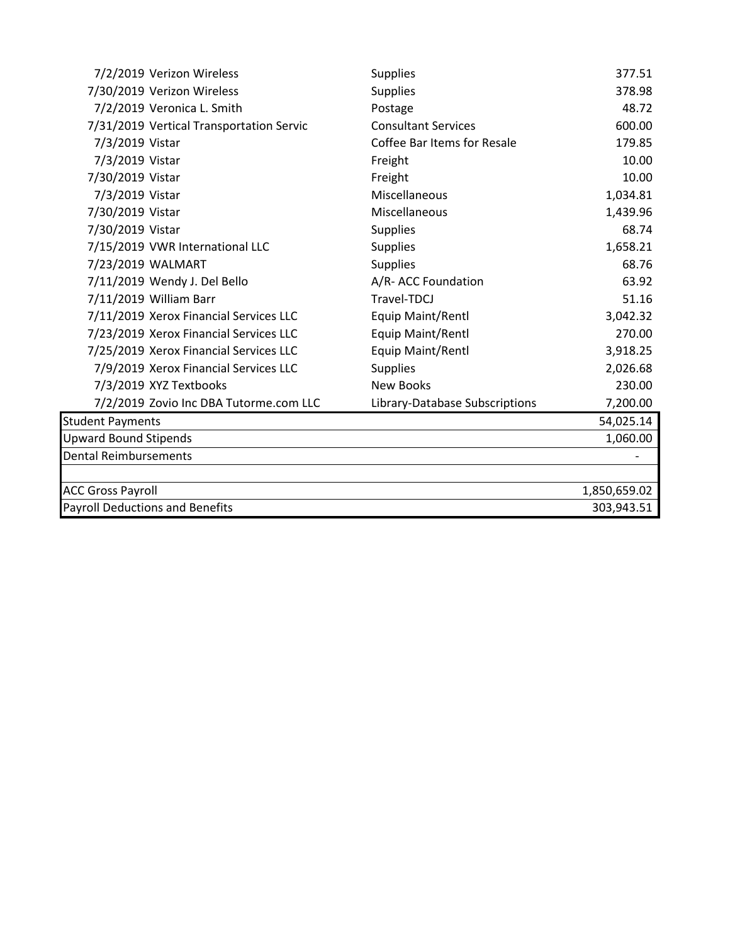| 7/2/2019 Verizon Wireless                | <b>Supplies</b>                | 377.51       |
|------------------------------------------|--------------------------------|--------------|
| 7/30/2019 Verizon Wireless               | <b>Supplies</b>                | 378.98       |
| 7/2/2019 Veronica L. Smith               | Postage                        | 48.72        |
| 7/31/2019 Vertical Transportation Servic | <b>Consultant Services</b>     | 600.00       |
| 7/3/2019 Vistar                          | Coffee Bar Items for Resale    | 179.85       |
| 7/3/2019 Vistar                          | Freight                        | 10.00        |
| 7/30/2019 Vistar                         | Freight                        | 10.00        |
| 7/3/2019 Vistar                          | Miscellaneous                  | 1,034.81     |
| 7/30/2019 Vistar                         | Miscellaneous                  | 1,439.96     |
| 7/30/2019 Vistar                         | <b>Supplies</b>                | 68.74        |
| 7/15/2019 VWR International LLC          | <b>Supplies</b>                | 1,658.21     |
| 7/23/2019 WALMART                        | <b>Supplies</b>                | 68.76        |
| 7/11/2019 Wendy J. Del Bello             | A/R- ACC Foundation            | 63.92        |
| 7/11/2019 William Barr                   | Travel-TDCJ                    | 51.16        |
| 7/11/2019 Xerox Financial Services LLC   | Equip Maint/Rentl              | 3,042.32     |
| 7/23/2019 Xerox Financial Services LLC   | Equip Maint/Rentl              | 270.00       |
| 7/25/2019 Xerox Financial Services LLC   | Equip Maint/Rentl              | 3,918.25     |
| 7/9/2019 Xerox Financial Services LLC    | <b>Supplies</b>                | 2,026.68     |
| 7/3/2019 XYZ Textbooks                   | <b>New Books</b>               | 230.00       |
| 7/2/2019 Zovio Inc DBA Tutorme.com LLC   | Library-Database Subscriptions | 7,200.00     |
| <b>Student Payments</b>                  |                                | 54,025.14    |
| <b>Upward Bound Stipends</b>             |                                | 1,060.00     |
| <b>Dental Reimbursements</b>             |                                |              |
|                                          |                                |              |
| <b>ACC Gross Payroll</b>                 |                                | 1,850,659.02 |
| <b>Payroll Deductions and Benefits</b>   |                                | 303,943.51   |